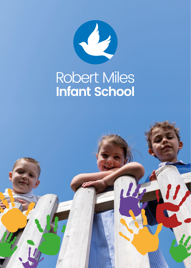

# Robert Miles<br>Infant School

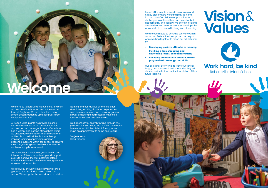### **Welcome**

Welcome to Robert Miles Infant School, a vibrant and successful school located in the market town of Bingham. We are a two-form entry school accommodating up to 180 pupils from Reception until Year 2.

At Robert Miles Infants we provide a caring environment where all our children feel safe and secure and are eager to learn. Our school has a vibrant and positive atmosphere where we encourage the children to follow our Motto of 'Work hard be kind'. Pupils thrive through inspiring learning opportunities and we challenge everyone within our school to achieve their best, working closely with our families to enable our pupils to succeed.

We hope that you enjoy browsing through this prospectus. If you would like to know more about how we work at Robert Miles Infants, please make an appointment to come and visit us.

Robert Miles Infants strives to be a warm and happy place where work and play go hand in hand. We offer children opportunities and challenges to achieve their true potential, both academically and socially. We offer an inspiring, creative learning environment that develops the whole child to create a life-long love of learning.

The school has a dedicated, outstanding and talented staff team, who develop and support pupils to achieve their full potential, setting excellent foundations to achieve throughout the whole of their education.

We are lucky enough to have amazing school grounds that are hidden away behind the school. We recognise the importance of outdoor We are committed to ensuring everyone within our school feels valued, supported and equal, while working together to reach our full potential by:

learning and our facilities allow us to offer stimulating, exciting, first-hand experiences, such as a wildlife area and a sensory garden, as well as having a dedicated Forest School teacher who works with every class.

Sonja Adams Head Teacher



- Developing positive attitudes to learning;
- Instilling a love of reading and developing fluent, confident readers;
- Providing an ambitious curriculum with progressive knowledge and skills.

Our goal is for every child to leave our school happy and successful, with memories they will cherish and skills that are the foundation of their future learning.



### **Vision**& **Values**



#### **Work hard, be kind Robert Miles Infant School**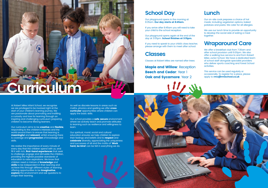## **Curriculum**

At Robert Miles Infant School, we recognise we are privileged to be involved right at the start of your children's learning journey. We are passionate about promoting and instilling a curiosity and love for learning through an inspiring and challenging curriculum preparing children to become lifelong learners.

Our curriculum aims to be creative and flexible, responding to the children's interests and the world around them to ensure that learning is meaningful and relevant, whilst ensuring there is coverage and **progression** of knowledge and skills.

Our school provides a **safe**, **secure** environment where we actively teach and promote attitudes to learning such as resilience and willingness to learn.

Our spiritual, moral, social and cultural education ensures we help children to explore their feelings and beliefs and to respect and celebrate diversity, appreciating the uniqueness and successes of all and the motto of 'Work hard, be kind' can be felt in everything we do.



We realise the importance of every minute of every day that the children spend with us, and fill it with rich, first-hand experiences that seek to challenge, engage and stimulate the children, providing the highest possible standards of education to raise aspirations. We know that children need a mixture of **knowledge** and skills to be independent in their learning and achieve this through different styles of learning, offering opportunities to be *imaginative*, explore the environment and ask questions to shape their learning.

Our playground opens in the morning at 8:35am. Our day starts at 8:45am.

As well as discrete lessons in areas such as maths, phonics and spelling we offer **cross** curricular opportunities where children can apply the basic skills.

We use our lunch time to provide an opportunity to develop the social side of eating a meal together.

This service can be used regularly or occasionally. To register for a place, please apply to **rmc@rmischool.co.uk** 

#### **School Day**

If you arrive after 8:45am you will need to take your child to the school reception.

Our playground opens again at the end of the day at 3:05pm. School finishes at 3:15pm.

If you need to speak to your child's class teacher, please arrange with them to meet after school.

#### **Classes**

Classes at Robert Miles are named after trees:

**Maple and Willow: Reception Beech and Cedar: Year 1 Oak and Sycamore: Year 2** 



#### **Lunch**

Our on-site cook prepares a choice of hot meals; including vegetarian options, baked potatoes and pasta. We cater for all allergies.

#### **Wraparound Care**

We offer a breakfast club from 7:30am and after school provision until 6:00pm. We also offer a walking bus service to and from Robert Miles Junior School. We have a dedicated team of school staff alongside specialist providers who deliver sports coaching and Forest School activities.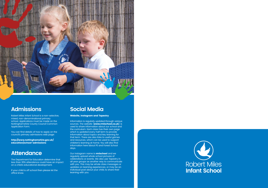

#### **Admissions**

Robert Miles Infant School is a non-selective, mixed, non-denominational primary school. Applications must be made on the Nottinghamshire County Council Common Application Form.

You can find details of how to apply on the council's primary admissions web page:

http://www.nottinghamshire.gov.uk/ education/school-admissions

#### **Attendance**

The Department for Education determine that less than 95% attendance could have an impact on a child's educational development.

If your child is off school then please let the office know.

#### **Social Media**

Website, Instagram and Tapestry

Our Instagram name is **rmischool** and we regularly upload whole school pictures of celebrations or events. We also use Tapestry in all year groups as another way to communicate with you. This may be whole class messages or updates on learning experiences, or may be an individual post about your child, to share their learning with you.



Information is regularly updated through various sources. The website (**www.rmischool.co.uk**) is used to share information about our school and the curriculum. Each class has their own page which is updated every half term to provide information about topics and key learning for that term. There are also links to useful games and resources, which can be used to support children's learning at home. You will also find information here about PE and Forest School days.